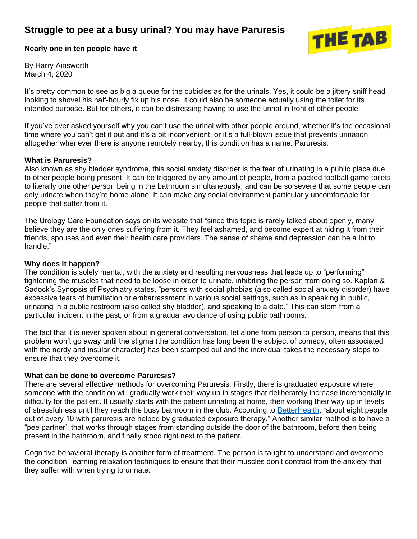## **Struggle to pee at a busy urinal? You may have Paruresis**



**Nearly one in ten people have it**

By Harry Ainsworth March 4, 2020

It's pretty common to see as big a queue for the cubicles as for the urinals. Yes, it could be a jittery sniff head looking to shovel his half-hourly fix up his nose. It could also be someone actually using the toilet for its intended purpose. But for others, it can be distressing having to use the urinal in front of other people.

If you've ever asked yourself why you can't use the urinal with other people around, whether it's the occasional time where you can't get it out and it's a bit inconvenient, or it's a full-blown issue that prevents urination altogether whenever there is anyone remotely nearby, this condition has a name: Paruresis.

## **What is Paruresis?**

Also known as shy bladder syndrome, this social anxiety disorder is the fear of urinating in a public place due to other people being present. It can be triggered by any amount of people, from a packed football game toilets to literally one other person being in the bathroom simultaneously, and can be so severe that some people can only urinate when they're home alone. It can make any social environment particularly uncomfortable for people that suffer from it.

The Urology Care Foundation says on its website that "since this topic is rarely talked about openly, many believe they are the only ones suffering from it. They feel ashamed, and become expert at hiding it from their friends, spouses and even their health care providers. The sense of shame and depression can be a lot to handle."

## **Why does it happen?**

The condition is solely mental, with the anxiety and resulting nervousness that leads up to "performing" tightening the muscles that need to be loose in order to urinate, inhibiting the person from doing so. Kaplan & Sadock's Synopsis of Psychiatry states, "persons with social phobias (also called social anxiety disorder) have excessive fears of humiliation or embarrassment in various social settings, such as in speaking in public, urinating in a public restroom (also called shy bladder), and speaking to a date." This can stem from a particular incident in the past, or from a gradual avoidance of using public bathrooms.

The fact that it is never spoken about in general conversation, let alone from person to person, means that this problem won't go away until the stigma (the condition has long been the subject of comedy, often associated with the nerdy and insular character) has been stamped out and the individual takes the necessary steps to ensure that they overcome it.

## **What can be done to overcome Paruresis?**

There are several effective methods for overcoming Paruresis. Firstly, there is graduated exposure where someone with the condition will gradually work their way up in stages that deliberately increase incrementally in difficulty for the patient. It usually starts with the patient urinating at home, then working their way up in levels of stressfulness until they reach the busy bathroom in the club. According to [BetterHealth,](https://www.betterhealth.vic.gov.au/health/conditionsandtreatments/shy-bladder-syndrome) "about eight people out of every 10 with paruresis are helped by graduated exposure therapy." Another similar method is to have a "pee partner', that works through stages from standing outside the door of the bathroom, before then being present in the bathroom, and finally stood right next to the patient.

Cognitive behavioral therapy is another form of treatment. The person is taught to understand and overcome the condition, learning relaxation techniques to ensure that their muscles don't contract from the anxiety that they suffer with when trying to urinate.